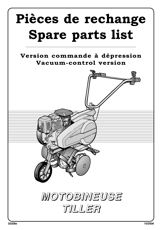## **Pièces de rechange Spare parts list**

**Version commande à dépression Vacuum-control version**

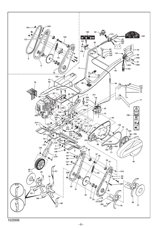![](_page_1_Figure_0.jpeg)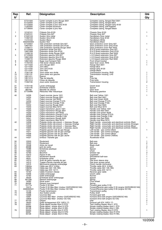| Rep<br>$N^{\circ}$ | Ref.                   | Désignation                                                                             | <b>Description</b>                                                                                                   | Qté<br>Qty     |
|--------------------|------------------------|-----------------------------------------------------------------------------------------|----------------------------------------------------------------------------------------------------------------------|----------------|
|                    | 57721500               | Carter complet à jonc Rouge 3001                                                        | Complete casing, flanged Red 3001                                                                                    |                |
|                    | 57722500<br>57723500   | Carter complet à jonc Bleu<br>Carter complet à jonc Gris 8120                           | Complete casing, flanged Blue<br>Complete casing, flanged Grey 8120                                                  |                |
|                    | 11302500               | Carter complet boulonné                                                                 | Complete casing, bolt-together                                                                                       |                |
|                    | 57728500               | Carter complet à jonc Noir                                                              | Complete casing, flanged Black                                                                                       |                |
| 1                  | 12102101               | Châssis Gris 8120                                                                       | Chassis Grey 8120                                                                                                    | 1              |
| 2                  | 21523101<br>21522103   | Châssis Gris 627<br>Guidon Gris métal                                                   | Chassis Grey 627<br>Handlebars Grey metal                                                                            | 1              |
|                    | 11302103               | Guidon Gris 8120                                                                        | Handlebars Grey 8120                                                                                                 |                |
|                    | 11415103               | Guidon Blanc<br><b>Guidon Noir</b>                                                      | <b>Handlebars White</b><br><b>Handlebars Black</b>                                                                   |                |
| 3                  | 3002000305<br>57103007 | Tôle protection centrale Gris 627                                                       | Gear protective cover Grey 627                                                                                       | 1              |
|                    | 12601007<br>11408117   | Tôle protection centrale Gris 8120<br>Tôle protection centrale Rouge 3002               | Gear protective cover Grey 8120<br>Gear protective cover Red 3002                                                    |                |
| 4                  | 57103008               | Extension droite Gris 627                                                               | R.H.S guard extension Grey 627                                                                                       | 1              |
|                    | 12601008<br>11408118   | Extension droite Gris 8120<br>Extension droite Rouge 3002                               | R.H.S guard extension Grey 8120<br>R.H.S guard extension Red 3002                                                    |                |
| 5                  | 57103009               | Extension gauche Gris 627                                                               | L.H.S guard extension Grey 627                                                                                       | 1              |
|                    | 12601009<br>11408119   | Extension gauche Gris 8120<br>Extension gauche Rouge 3002                               | L.H.S guard extension Grey 8120<br>L.H.S guard extension Red 3002                                                    |                |
| 6                  | 12601005               | Supp roue transport Noir                                                                | Front wheel bracket                                                                                                  | 1              |
| 7<br>8             | 11703105<br>12711033   | Tôle levier vitesse droite<br>Jonc Rouge 3001                                           | Gear lever cover, RHS<br>Flange Red 3001                                                                             | 1<br>1         |
|                    | 12711034               | Jonc Bleu                                                                               | <b>Flange Blue</b>                                                                                                   |                |
|                    | 12711032<br>12711041   | Jonc Gris 8120<br>Jonc Noir                                                             | Flange Grey 8120<br><b>Flange Black</b>                                                                              |                |
| 9                  | 11301130               | Joue carter eco droite                                                                  | Transmission housing, RHS                                                                                            |                |
| 10<br>11           | 11301131<br>12611011   | Joue carter eco gauche<br>Eperon                                                        | Transmission housing, LHS<br>Key                                                                                     | 1              |
| 13                 | 12611013               | Tige de béquille                                                                        | Prop leg                                                                                                             |                |
| 14<br>15           | 12611014<br>11302130   | Corps de béquille<br>Joue carter boulonné                                               | Prop body<br>Transmission housing                                                                                    | 2              |
|                    |                        |                                                                                         |                                                                                                                      |                |
| 31<br>32           | 11701140<br>11301145   | Levier embrayage<br>Entretoise châssis                                                  | Clutch lever<br>Spacer                                                                                               | 1              |
| 34                 | 36079a                 | Manette de vitesse                                                                      | Gear lever                                                                                                           |                |
| 35                 | 57720996               | Réducteur Mar mécanique                                                                 | Reversing gearbox                                                                                                    | 1              |
| 40                 | 14226                  | Capot courroie Jaune 1021                                                               | Belt cowl Yellow 1021                                                                                                | 1              |
|                    | 14224<br>14231         | Capot courroie Rouge 3001<br>Capot courroie Vert 6029                                   | Belt cowl Red 3001<br>Belt cowl Green 6029                                                                           |                |
|                    | 14233                  | Capot courroie Orange P1375                                                             | Belt cowl Orange P1375                                                                                               |                |
|                    | 23047<br>14242         | Capot courroie Orange P165<br>Capot courroie Rouge 3020                                 | Belt cowl Orange P165<br>Belt cowl Red 3020                                                                          |                |
|                    | 14243                  | Capot courroie Bleu 5010                                                                | Belt cowl Blue 5010                                                                                                  |                |
| 41                 | 14225<br>14223         | Capot mancheron Jaune 1021<br>Capot mancheron Rouge 3001                                | Handle cowl Yellow 1021<br>Handle cowl Red 3001                                                                      | 1              |
|                    | 14230                  | Capot mancheron Vert 6029                                                               | Handle cowl Green 6029                                                                                               |                |
|                    | 14232<br>23048         | Capot mancheron Orange P1375<br>Capot mancheron Orange P165                             | Handle cowl Orange P1375<br>Handle cowl Orange P165                                                                  |                |
|                    | 14241                  | Capot mancheron Rouge 3020                                                              | Handle cowl Red 3020                                                                                                 |                |
| 42                 | 14239<br>14306         | Capot mancheron Bleu 5010<br>Poignée droite cde pneum. + faisceau Rouge                 | Handle cowl Blue 5010<br>Right handle - pneumatic and electrical controls (Red)                                      | 1              |
|                    | 14310                  | Poignée droite cde pneum. + faisceau Orange                                             | Right handle - pneumatic and electrical controls (Orange)                                                            |                |
|                    | 14308<br>14304         | Poignée droite cde pneum. + faisceau Bleu<br>Poignée droite cde pneum. + faisceau Jaune | Right handle - pneumatic and electrical controls (Blue)<br>Right handle - pneumatic and electrical controls (Yellow) |                |
| 43                 | 14307                  | Poignée gauche cde de gaz Rouge                                                         | Left handle - gas control (Red)                                                                                      | 1              |
|                    | 14311<br>14309         | Poignée gauche cde de gaz Orange<br>Poignée gauche cde de gaz Bleu                      | Left handle - gas control (Orange)<br>Left handle - gas control (Blue)                                               |                |
|                    | 14305                  | Poignée gauche cde de gaz Jaune                                                         | Left handle - gas control (Yellow)                                                                                   |                |
| 44                 | 14327                  | Embout manette gaz                                                                      | Accelerator knob                                                                                                     | 1              |
| 50                 | 12503                  | Roulement                                                                               | Ball-race                                                                                                            | 1              |
| 51<br>52           | 12542<br>15038         | Roulement<br>Arbre de travail                                                           | Ball-race<br><b>Blade shaft</b>                                                                                      | 2<br>1         |
| 53                 | 46098                  | joint de carter                                                                         | Joint                                                                                                                | 2              |
| 54<br>55           | 14088<br>13292         | Entretoise plastique<br>Chaîne                                                          | Spacer<br>Chain                                                                                                      | 1<br>1         |
| 56                 | 12793                  | Bouchon                                                                                 | Grease cap                                                                                                           | 2              |
| 57<br>58           | 13372<br>12551         | Pignon 8 dts<br>Roulement épaulé                                                        | Cogwheel<br>Shouldered ball-race                                                                                     | 1              |
| 59                 | 16031                  | Entretoise carter                                                                       | Spacer                                                                                                               |                |
| 60<br>61           | 14313<br>14312         | Arrêt de gaine manette de gaz<br>Trappe d'accès manette de gaz                          | Gas lever sleeve stop<br>Gas lever access panel                                                                      |                |
| 62                 | 14315                  | Microvanne poignée embrayage                                                            | Clutch handle microvalve                                                                                             |                |
| 63                 | 13840a<br>13825b       | Câble gaz (B.S. 5,5Hp)<br>Câble gaz (GC 135-160)                                        | Throttle cable (B.S. 5,5Hp)<br>Throttle cable (GC 135-160)                                                           | 1              |
|                    | 13841a                 | Câble gaz (EX 13/17)                                                                    | Throttle cable (EX 13/17)                                                                                            |                |
| 64<br>65           | 13192<br>13206         | Câble inversion vitesse<br>Câble embrayage                                              | Reverse gear cable<br>Clutch cable                                                                                   |                |
| 66                 | 12162                  | Galet embrayage                                                                         | Runner                                                                                                               |                |
| 67<br>68           | 16034<br>65133b        | Entretoise levier embrayage<br>Ressort embrayage                                        | Spacer<br>Spring                                                                                                     |                |
| 69                 | 14090                  | Roue avant                                                                              | Front wheel                                                                                                          |                |
| 70<br>71           | 65026                  | Ressort roue transport                                                                  | Spring<br>Forward gear pulley D 50                                                                                   |                |
|                    | 15177a<br>15415        | Poulie D 50 May<br>Poulie D 55 Mav-Marr (moteur GX/EX/BS/GC160)                         | Forward/Reverse gear pulley D 55 (engine GX/EX/BS/GC160)                                                             |                |
|                    | 0306060021             | Poulie D 65 Mav-Marr (moteur GC135)                                                     | Forward/Reverse gear pulley D 65 (engine GC135)                                                                      |                |
| 72<br>73           | 14135<br>15098         | Poulie transmission<br>Axe fixation poulie                                              | Transmission pulley<br>Pulley shaft                                                                                  |                |
| 74                 | 13598                  | Courroie May                                                                            | Forward gear belt                                                                                                    |                |
|                    | 13567<br>13609         | Courroie Mav-Marr (moteur GX/EX/BS/GC160)<br>Courroie Mav-Marr (moteur GC135)           | Forward drive belt (engine GX/EX/BS/GC160)<br>Forward drive belt (engine GC135)                                      | 1              |
| 77                 | 55102                  | Disque                                                                                  | Disk                                                                                                                 | $\overline{c}$ |
| 76<br>78           | 19020<br>55201         | Grille échappement (EX 13/EX 17)<br>Etoile départ double 40x4 G STD                     | Exhaust grill (EX 13/EX 17)<br>Twin rotating blades 40x4 L STD                                                       | 1<br>1         |
|                    | 55098                  | Étoile départ simple 40x4 G STD                                                         | Simple rotating blades 40x4 L STD                                                                                    |                |
| 79                 | 55128<br>55200         | Étoile départ simple 40x4 G HEL<br>Etoile départ double 40x4 D STD                      | Simple rotating blades 40x4 L HEL<br>Twin rotating blades 40x4 R STD                                                 | 1              |
|                    | 55097                  | Étoile départ simple 40x4 D STD                                                         | Simple rotating blades 40x4 R STD                                                                                    |                |
|                    | 55129                  | Étoile départ simple 40x4 D HEL                                                         | Simple rotating blades 40x4 R HEL                                                                                    |                |